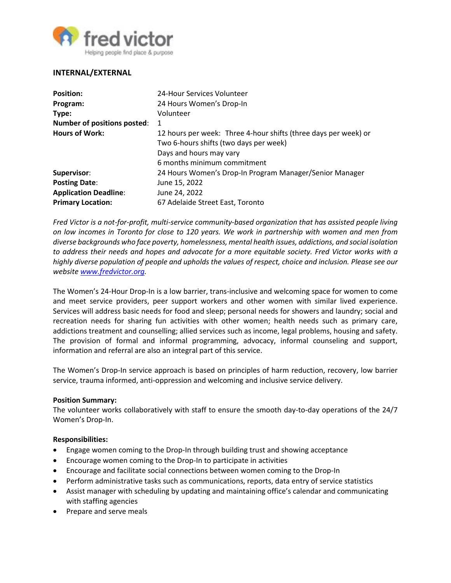

# **INTERNAL/EXTERNAL**

| <b>Position:</b>                   | 24-Hour Services Volunteer                                      |
|------------------------------------|-----------------------------------------------------------------|
| Program:                           | 24 Hours Women's Drop-In                                        |
| Type:                              | Volunteer                                                       |
| <b>Number of positions posted:</b> | 1                                                               |
| <b>Hours of Work:</b>              | 12 hours per week: Three 4-hour shifts (three days per week) or |
|                                    | Two 6-hours shifts (two days per week)                          |
|                                    | Days and hours may vary                                         |
|                                    | 6 months minimum commitment                                     |
| Supervisor:                        | 24 Hours Women's Drop-In Program Manager/Senior Manager         |
| <b>Posting Date:</b>               | June 15, 2022                                                   |
| <b>Application Deadline:</b>       | June 24, 2022                                                   |
| <b>Primary Location:</b>           | 67 Adelaide Street East, Toronto                                |

*Fred Victor is a not-for-profit, multi-service community-based organization that has assisted people living on low incomes in Toronto for close to 120 years. We work in partnership with women and men from diverse backgrounds who face poverty, homelessness, mental health issues, addictions, and social isolation to address their needs and hopes and advocate for a more equitable society. Fred Victor works with a highly diverse population of people and upholds the values of respect, choice and inclusion. Please see our website [www.fredvictor.org.](http://www.fredvictor.org/)*

The Women's 24-Hour Drop-In is a low barrier, trans-inclusive and welcoming space for women to come and meet service providers, peer support workers and other women with similar lived experience. Services will address basic needs for food and sleep; personal needs for showers and laundry; social and recreation needs for sharing fun activities with other women; health needs such as primary care, addictions treatment and counselling; allied services such as income, legal problems, housing and safety. The provision of formal and informal programming, advocacy, informal counseling and support, information and referral are also an integral part of this service.

The Women's Drop-In service approach is based on principles of harm reduction, recovery, low barrier service, trauma informed, anti-oppression and welcoming and inclusive service delivery.

#### **Position Summary:**

The volunteer works collaboratively with staff to ensure the smooth day-to-day operations of the 24/7 Women's Drop-In.

#### **Responsibilities:**

- Engage women coming to the Drop-In through building trust and showing acceptance
- Encourage women coming to the Drop-In to participate in activities
- Encourage and facilitate social connections between women coming to the Drop-In
- Perform administrative tasks such as communications, reports, data entry of service statistics
- Assist manager with scheduling by updating and maintaining office's calendar and communicating with staffing agencies
- Prepare and serve meals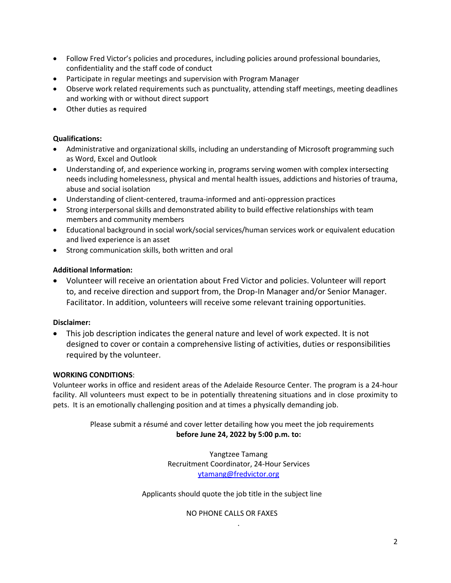- Follow Fred Victor's policies and procedures, including policies around professional boundaries, confidentiality and the staff code of conduct
- Participate in regular meetings and supervision with Program Manager
- Observe work related requirements such as punctuality, attending staff meetings, meeting deadlines and working with or without direct support
- Other duties as required

### **Qualifications:**

- Administrative and organizational skills, including an understanding of Microsoft programming such as Word, Excel and Outlook
- Understanding of, and experience working in, programs serving women with complex intersecting needs including homelessness, physical and mental health issues, addictions and histories of trauma, abuse and social isolation
- Understanding of client-centered, trauma-informed and anti-oppression practices
- Strong interpersonal skills and demonstrated ability to build effective relationships with team members and community members
- Educational background in social work/social services/human services work or equivalent education and lived experience is an asset
- Strong communication skills, both written and oral

## **Additional Information:**

 Volunteer will receive an orientation about Fred Victor and policies. Volunteer will report to, and receive direction and support from, the Drop-In Manager and/or Senior Manager. Facilitator. In addition, volunteers will receive some relevant training opportunities.

### **Disclaimer:**

 This job description indicates the general nature and level of work expected. It is not designed to cover or contain a comprehensive listing of activities, duties or responsibilities required by the volunteer.

### **WORKING CONDITIONS**:

Volunteer works in office and resident areas of the Adelaide Resource Center. The program is a 24-hour facility. All volunteers must expect to be in potentially threatening situations and in close proximity to pets. It is an emotionally challenging position and at times a physically demanding job.

# Please submit a résumé and cover letter detailing how you meet the job requirements **before June 24, 2022 by 5:00 p.m. to:**

Yangtzee Tamang Recruitment Coordinator, 24-Hour Services [ytamang@fredvictor.org](mailto:ytamang@fredvictor.org)

Applicants should quote the job title in the subject line

NO PHONE CALLS OR FAXES

.